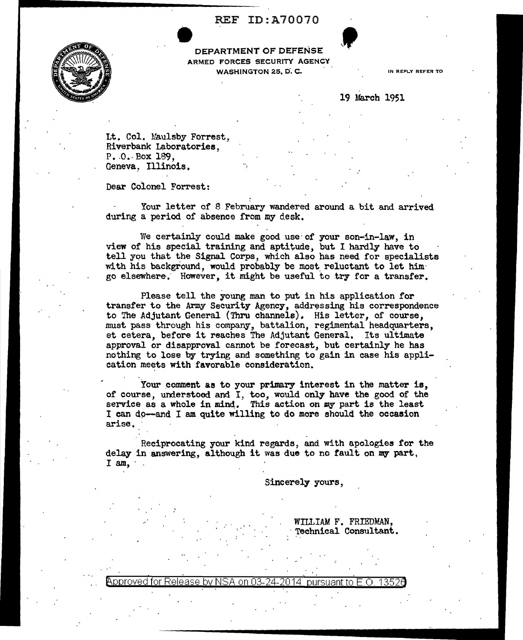## REF ID:A70070



DEPARTMENT OF DEFENSE ARMED FORCES SECURITY AGENCY WASHINGTON 25, D.C.

IN REPL.Y REFER TO

19 March 1951

Lt. Col. Uaulsby Forrest, Riverbank Laboratories,<br>P. 0. Box 189. Geneva, Illinois.

Dear Colonel Forrest:

Your letter of 8 February wandered around a bit and arrived during a period of absence from my desk.

We certainly could make good use of your son-in-law, in view of his special training and aptitude, but I hardly have to tell you that the Signal Corps, which also has need for specialists with his background, would probably be most reluctant to let himgo elsewhere. However, it might be useful to try for a transfer.

Please tell the young man to put in his application for transfer to the Army Security Agency, addressing his correspondence to The Adjutant General (Thru channels). His letter, of course, must pass through his company, battalion, regimental headquarters, et cetera, before it reaches The Adjutant General. Its ultimate approval or disapproval cannot be forecast, but certainly he has nothing to lose by trying and something to gain in case his application meets with favorable consideration.

Your comment as to your primary interest in the matter is, of course, understood and I, too, would only have the good of the service as a whole in mind. This action on my part is the least I can do--and I am quite willing to do more should the occasion arise.

Reciprocating your kind regards, and with apologies for the delay in answering, although it was due to no fault on my part,  $I$  am,

Sincerely yours,

WILLIAM F. FRIEDMAN, Technical Consultant.

pproved for Release by NSA on 03-24-2014  $\overline{\rm \,}$ pursuant to  $\overline{\rm \rm F~O}$  .